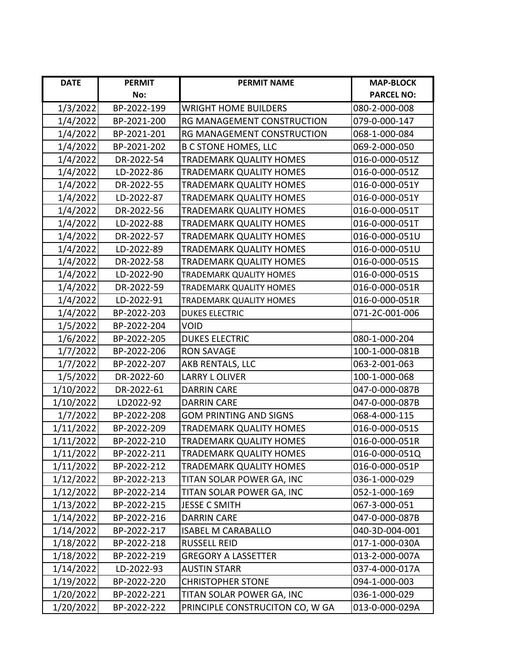| <b>DATE</b> | <b>PERMIT</b> | <b>PERMIT NAME</b>              | <b>MAP-BLOCK</b>  |
|-------------|---------------|---------------------------------|-------------------|
|             | No:           |                                 | <b>PARCEL NO:</b> |
| 1/3/2022    | BP-2022-199   | <b>WRIGHT HOME BUILDERS</b>     | 080-2-000-008     |
| 1/4/2022    | BP-2021-200   | RG MANAGEMENT CONSTRUCTION      | 079-0-000-147     |
| 1/4/2022    | BP-2021-201   | RG MANAGEMENT CONSTRUCTION      | 068-1-000-084     |
| 1/4/2022    | BP-2021-202   | <b>B C STONE HOMES, LLC</b>     | 069-2-000-050     |
| 1/4/2022    | DR-2022-54    | TRADEMARK QUALITY HOMES         | 016-0-000-051Z    |
| 1/4/2022    | LD-2022-86    | TRADEMARK QUALITY HOMES         | 016-0-000-051Z    |
| 1/4/2022    | DR-2022-55    | TRADEMARK QUALITY HOMES         | 016-0-000-051Y    |
| 1/4/2022    | LD-2022-87    | TRADEMARK QUALITY HOMES         | 016-0-000-051Y    |
| 1/4/2022    | DR-2022-56    | TRADEMARK QUALITY HOMES         | 016-0-000-051T    |
| 1/4/2022    | LD-2022-88    | TRADEMARK QUALITY HOMES         | 016-0-000-051T    |
| 1/4/2022    | DR-2022-57    | TRADEMARK QUALITY HOMES         | 016-0-000-051U    |
| 1/4/2022    | LD-2022-89    | TRADEMARK QUALITY HOMES         | 016-0-000-051U    |
| 1/4/2022    | DR-2022-58    | <b>TRADEMARK QUALITY HOMES</b>  | 016-0-000-051S    |
| 1/4/2022    | LD-2022-90    | TRADEMARK QUALITY HOMES         | 016-0-000-051S    |
| 1/4/2022    | DR-2022-59    | <b>TRADEMARK QUALITY HOMES</b>  | 016-0-000-051R    |
| 1/4/2022    | LD-2022-91    | TRADEMARK QUALITY HOMES         | 016-0-000-051R    |
| 1/4/2022    | BP-2022-203   | <b>DUKES ELECTRIC</b>           | 071-2C-001-006    |
| 1/5/2022    | BP-2022-204   | VOID                            |                   |
| 1/6/2022    | BP-2022-205   | <b>DUKES ELECTRIC</b>           | 080-1-000-204     |
| 1/7/2022    | BP-2022-206   | <b>RON SAVAGE</b>               | 100-1-000-081B    |
| 1/7/2022    | BP-2022-207   | AKB RENTALS, LLC                | 063-2-001-063     |
| 1/5/2022    | DR-2022-60    | <b>LARRY L OLIVER</b>           | 100-1-000-068     |
| 1/10/2022   | DR-2022-61    | <b>DARRIN CARE</b>              | 047-0-000-087B    |
| 1/10/2022   | LD2022-92     | <b>DARRIN CARE</b>              | 047-0-000-087B    |
| 1/7/2022    | BP-2022-208   | <b>GOM PRINTING AND SIGNS</b>   | 068-4-000-115     |
| 1/11/2022   | BP-2022-209   | <b>TRADEMARK QUALITY HOMES</b>  | 016-0-000-051S    |
| 1/11/2022   | BP-2022-210   | TRADEMARK QUALITY HOMES         | 016-0-000-051R    |
| 1/11/2022   | BP-2022-211   | <b>TRADEMARK QUALITY HOMES</b>  | 016-0-000-051Q    |
| 1/11/2022   | BP-2022-212   | TRADEMARK QUALITY HOMES         | 016-0-000-051P    |
| 1/12/2022   | BP-2022-213   | TITAN SOLAR POWER GA, INC       | 036-1-000-029     |
| 1/12/2022   | BP-2022-214   | TITAN SOLAR POWER GA, INC       | 052-1-000-169     |
| 1/13/2022   | BP-2022-215   | <b>JESSE C SMITH</b>            | 067-3-000-051     |
| 1/14/2022   | BP-2022-216   | <b>DARRIN CARE</b>              | 047-0-000-087B    |
| 1/14/2022   | BP-2022-217   | <b>ISABEL M CARABALLO</b>       | 040-3D-004-001    |
| 1/18/2022   | BP-2022-218   | <b>RUSSELL REID</b>             | 017-1-000-030A    |
| 1/18/2022   | BP-2022-219   | <b>GREGORY A LASSETTER</b>      | 013-2-000-007A    |
| 1/14/2022   | LD-2022-93    | <b>AUSTIN STARR</b>             | 037-4-000-017A    |
| 1/19/2022   | BP-2022-220   | <b>CHRISTOPHER STONE</b>        | 094-1-000-003     |
| 1/20/2022   | BP-2022-221   | TITAN SOLAR POWER GA, INC       | 036-1-000-029     |
| 1/20/2022   | BP-2022-222   | PRINCIPLE CONSTRUCITON CO, W GA | 013-0-000-029A    |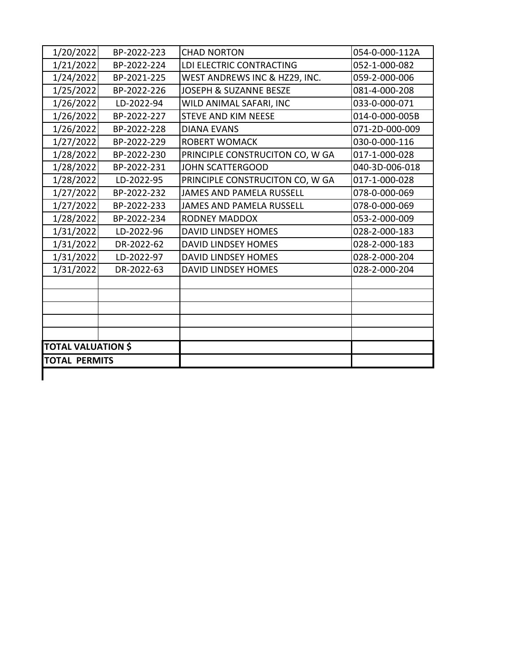| 1/20/2022                 | BP-2022-223 | <b>CHAD NORTON</b>              | 054-0-000-112A |
|---------------------------|-------------|---------------------------------|----------------|
| 1/21/2022                 | BP-2022-224 | LDI ELECTRIC CONTRACTING        | 052-1-000-082  |
| 1/24/2022                 | BP-2021-225 | WEST ANDREWS INC & HZ29, INC.   | 059-2-000-006  |
| 1/25/2022                 | BP-2022-226 | JOSEPH & SUZANNE BESZE          | 081-4-000-208  |
| 1/26/2022                 | LD-2022-94  | WILD ANIMAL SAFARI, INC         | 033-0-000-071  |
| 1/26/2022                 | BP-2022-227 | <b>STEVE AND KIM NEESE</b>      | 014-0-000-005B |
| 1/26/2022                 | BP-2022-228 | <b>DIANA EVANS</b>              | 071-2D-000-009 |
| 1/27/2022                 | BP-2022-229 | <b>ROBERT WOMACK</b>            | 030-0-000-116  |
| 1/28/2022                 | BP-2022-230 | PRINCIPLE CONSTRUCITON CO, W GA | 017-1-000-028  |
| 1/28/2022                 | BP-2022-231 | <b>JOHN SCATTERGOOD</b>         | 040-3D-006-018 |
| 1/28/2022                 | LD-2022-95  | PRINCIPLE CONSTRUCITON CO, W GA | 017-1-000-028  |
| 1/27/2022                 | BP-2022-232 | JAMES AND PAMELA RUSSELL        | 078-0-000-069  |
| 1/27/2022                 | BP-2022-233 | <b>JAMES AND PAMELA RUSSELL</b> | 078-0-000-069  |
| 1/28/2022                 | BP-2022-234 | <b>RODNEY MADDOX</b>            | 053-2-000-009  |
| 1/31/2022                 | LD-2022-96  | DAVID LINDSEY HOMES             | 028-2-000-183  |
| 1/31/2022                 | DR-2022-62  | <b>DAVID LINDSEY HOMES</b>      | 028-2-000-183  |
| 1/31/2022                 | LD-2022-97  | DAVID LINDSEY HOMES             | 028-2-000-204  |
| 1/31/2022                 | DR-2022-63  | <b>DAVID LINDSEY HOMES</b>      | 028-2-000-204  |
|                           |             |                                 |                |
|                           |             |                                 |                |
|                           |             |                                 |                |
|                           |             |                                 |                |
|                           |             |                                 |                |
| <b>TOTAL VALUATION \$</b> |             |                                 |                |
| <b>TOTAL PERMITS</b>      |             |                                 |                |

 $\overline{\phantom{a}}$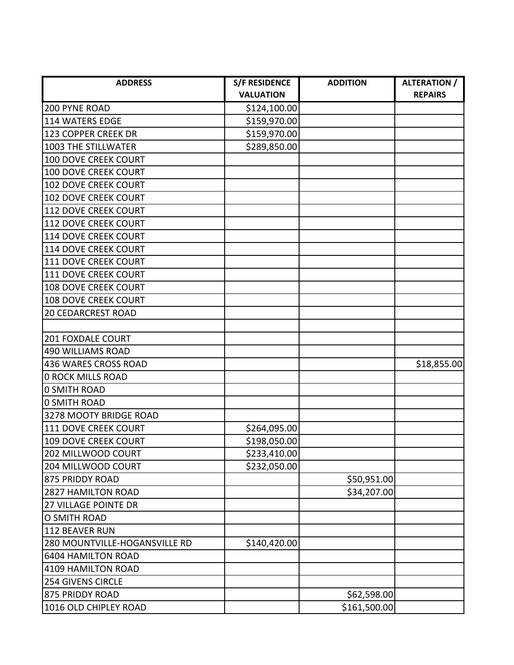| <b>ADDRESS</b>                | <b>S/F RESIDENCE</b> | <b>ADDITION</b> | <b>ALTERATION /</b> |
|-------------------------------|----------------------|-----------------|---------------------|
|                               | <b>VALUATION</b>     |                 | <b>REPAIRS</b>      |
| 200 PYNE ROAD                 | \$124,100.00         |                 |                     |
| <b>114 WATERS EDGE</b>        | \$159,970.00         |                 |                     |
| 123 COPPER CREEK DR           | \$159,970.00         |                 |                     |
| 1003 THE STILLWATER           | \$289,850.00         |                 |                     |
| <b>100 DOVE CREEK COURT</b>   |                      |                 |                     |
| <b>100 DOVE CREEK COURT</b>   |                      |                 |                     |
| <b>102 DOVE CREEK COURT</b>   |                      |                 |                     |
| 102 DOVE CREEK COURT          |                      |                 |                     |
| 112 DOVE CREEK COURT          |                      |                 |                     |
| <b>112 DOVE CREEK COURT</b>   |                      |                 |                     |
| <b>114 DOVE CREEK COURT</b>   |                      |                 |                     |
| <b>114 DOVE CREEK COURT</b>   |                      |                 |                     |
| 111 DOVE CREEK COURT          |                      |                 |                     |
| 111 DOVE CREEK COURT          |                      |                 |                     |
| <b>108 DOVE CREEK COURT</b>   |                      |                 |                     |
| <b>108 DOVE CREEK COURT</b>   |                      |                 |                     |
| <b>20 CEDARCREST ROAD</b>     |                      |                 |                     |
|                               |                      |                 |                     |
| 201 FOXDALE COURT             |                      |                 |                     |
| <b>490 WILLIAMS ROAD</b>      |                      |                 |                     |
| 436 WARES CROSS ROAD          |                      |                 | \$18,855.00         |
| <b>0 ROCK MILLS ROAD</b>      |                      |                 |                     |
| <b>0 SMITH ROAD</b>           |                      |                 |                     |
| <b>0 SMITH ROAD</b>           |                      |                 |                     |
| 3278 MOOTY BRIDGE ROAD        |                      |                 |                     |
| 111 DOVE CREEK COURT          | \$264,095.00         |                 |                     |
| <b>109 DOVE CREEK COURT</b>   | \$198,050.00         |                 |                     |
| 202 MILLWOOD COURT            | \$233,410.00         |                 |                     |
| 204 MILLWOOD COURT            | \$232,050.00         |                 |                     |
| 875 PRIDDY ROAD               |                      | \$50,951.00     |                     |
| <b>2827 HAMILTON ROAD</b>     |                      | \$34,207.00     |                     |
| 27 VILLAGE POINTE DR          |                      |                 |                     |
| O SMITH ROAD                  |                      |                 |                     |
| 112 BEAVER RUN                |                      |                 |                     |
| 280 MOUNTVILLE-HOGANSVILLE RD | \$140,420.00         |                 |                     |
| <b>6404 HAMILTON ROAD</b>     |                      |                 |                     |
| 4109 HAMILTON ROAD            |                      |                 |                     |
| <b>254 GIVENS CIRCLE</b>      |                      |                 |                     |
| 875 PRIDDY ROAD               |                      | \$62,598.00     |                     |
| 1016 OLD CHIPLEY ROAD         |                      | \$161,500.00    |                     |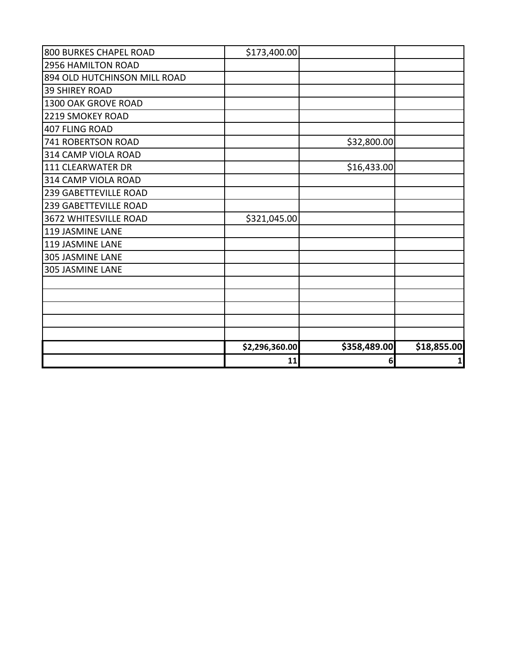| 800 BURKES CHAPEL ROAD       | \$173,400.00   |              |             |
|------------------------------|----------------|--------------|-------------|
| 2956 HAMILTON ROAD           |                |              |             |
| 894 OLD HUTCHINSON MILL ROAD |                |              |             |
| <b>39 SHIREY ROAD</b>        |                |              |             |
| 1300 OAK GROVE ROAD          |                |              |             |
| 2219 SMOKEY ROAD             |                |              |             |
| 407 FLING ROAD               |                |              |             |
| 741 ROBERTSON ROAD           |                | \$32,800.00  |             |
| 314 CAMP VIOLA ROAD          |                |              |             |
| 111 CLEARWATER DR            |                | \$16,433.00  |             |
| 314 CAMP VIOLA ROAD          |                |              |             |
| <b>239 GABETTEVILLE ROAD</b> |                |              |             |
| <b>239 GABETTEVILLE ROAD</b> |                |              |             |
| 3672 WHITESVILLE ROAD        | \$321,045.00   |              |             |
| 119 JASMINE LANE             |                |              |             |
| 119 JASMINE LANE             |                |              |             |
| <b>305 JASMINE LANE</b>      |                |              |             |
| <b>305 JASMINE LANE</b>      |                |              |             |
|                              |                |              |             |
|                              |                |              |             |
|                              |                |              |             |
|                              |                |              |             |
|                              |                |              |             |
|                              | \$2,296,360.00 | \$358,489.00 | \$18,855.00 |
|                              | 11             | 6            | 1           |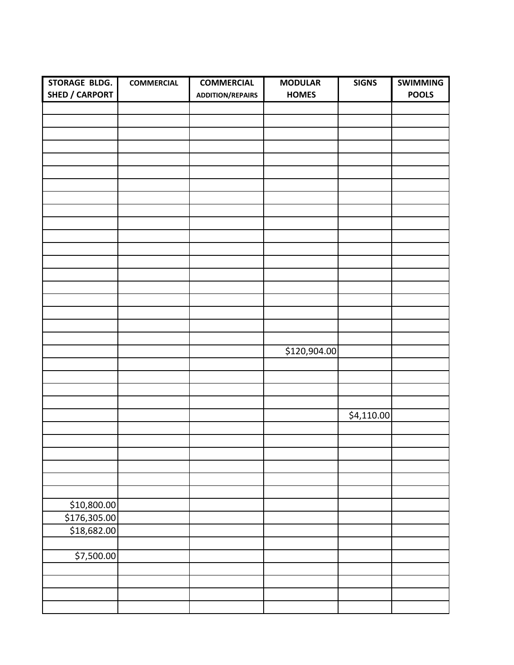| STORAGE BLDG.         | <b>COMMERCIAL</b> | <b>COMMERCIAL</b>       | <b>MODULAR</b> | <b>SIGNS</b> | <b>SWIMMING</b> |
|-----------------------|-------------------|-------------------------|----------------|--------------|-----------------|
| <b>SHED / CARPORT</b> |                   | <b>ADDITION/REPAIRS</b> | <b>HOMES</b>   |              | <b>POOLS</b>    |
|                       |                   |                         |                |              |                 |
|                       |                   |                         |                |              |                 |
|                       |                   |                         |                |              |                 |
|                       |                   |                         |                |              |                 |
|                       |                   |                         |                |              |                 |
|                       |                   |                         |                |              |                 |
|                       |                   |                         |                |              |                 |
|                       |                   |                         |                |              |                 |
|                       |                   |                         |                |              |                 |
|                       |                   |                         |                |              |                 |
|                       |                   |                         |                |              |                 |
|                       |                   |                         |                |              |                 |
|                       |                   |                         |                |              |                 |
|                       |                   |                         |                |              |                 |
|                       |                   |                         |                |              |                 |
|                       |                   |                         |                |              |                 |
|                       |                   |                         |                |              |                 |
|                       |                   |                         |                |              |                 |
|                       |                   |                         |                |              |                 |
|                       |                   |                         | \$120,904.00   |              |                 |
|                       |                   |                         |                |              |                 |
|                       |                   |                         |                |              |                 |
|                       |                   |                         |                |              |                 |
|                       |                   |                         |                |              |                 |
|                       |                   |                         |                | \$4,110.00   |                 |
|                       |                   |                         |                |              |                 |
|                       |                   |                         |                |              |                 |
|                       |                   |                         |                |              |                 |
|                       |                   |                         |                |              |                 |
|                       |                   |                         |                |              |                 |
|                       |                   |                         |                |              |                 |
| \$10,800.00           |                   |                         |                |              |                 |
| \$176,305.00          |                   |                         |                |              |                 |
| \$18,682.00           |                   |                         |                |              |                 |
|                       |                   |                         |                |              |                 |
| \$7,500.00            |                   |                         |                |              |                 |
|                       |                   |                         |                |              |                 |
|                       |                   |                         |                |              |                 |
|                       |                   |                         |                |              |                 |
|                       |                   |                         |                |              |                 |
|                       |                   |                         |                |              |                 |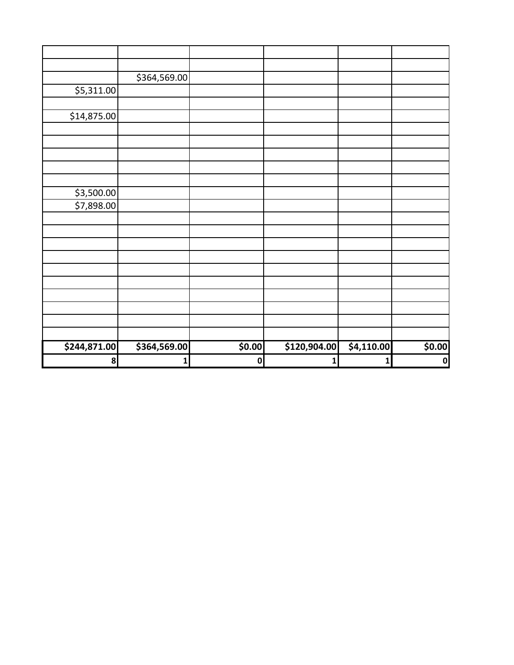|              | \$364,569.00 |           |              |            |             |
|--------------|--------------|-----------|--------------|------------|-------------|
| \$5,311.00   |              |           |              |            |             |
|              |              |           |              |            |             |
| \$14,875.00  |              |           |              |            |             |
|              |              |           |              |            |             |
|              |              |           |              |            |             |
|              |              |           |              |            |             |
|              |              |           |              |            |             |
|              |              |           |              |            |             |
| \$3,500.00   |              |           |              |            |             |
| \$7,898.00   |              |           |              |            |             |
|              |              |           |              |            |             |
|              |              |           |              |            |             |
|              |              |           |              |            |             |
|              |              |           |              |            |             |
|              |              |           |              |            |             |
|              |              |           |              |            |             |
|              |              |           |              |            |             |
|              |              |           |              |            |             |
|              |              |           |              |            |             |
|              |              |           |              |            |             |
| \$244,871.00 | \$364,569.00 | \$0.00    | \$120,904.00 | \$4,110.00 | \$0.00      |
| 8            | $1\vert$     | $\pmb{0}$ | $\mathbf{1}$ | $1\vert$   | $\mathbf 0$ |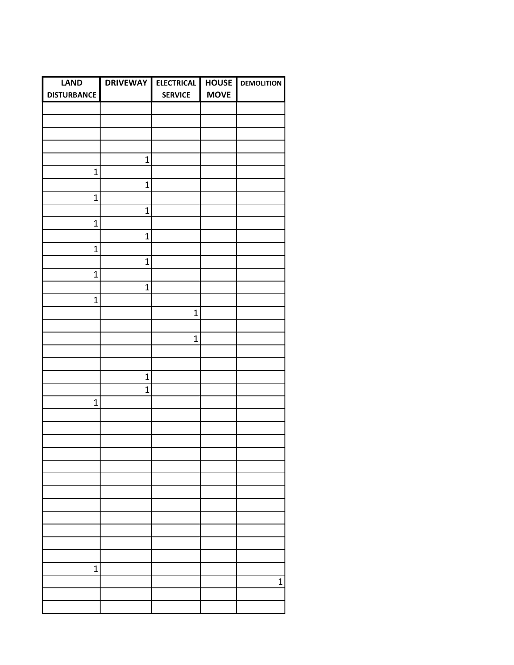| <b>LAND</b>        | <b>DRIVEWAY</b> | <b>ELECTRICAL</b> | <b>HOUSE</b> | <b>DEMOLITION</b> |
|--------------------|-----------------|-------------------|--------------|-------------------|
| <b>DISTURBANCE</b> |                 | <b>SERVICE</b>    | <b>MOVE</b>  |                   |
|                    |                 |                   |              |                   |
|                    |                 |                   |              |                   |
|                    |                 |                   |              |                   |
|                    |                 |                   |              |                   |
|                    | $\mathbf 1$     |                   |              |                   |
|                    |                 |                   |              |                   |
| $\mathbf 1$        |                 |                   |              |                   |
|                    | $\mathbf 1$     |                   |              |                   |
| $\mathbf 1$        |                 |                   |              |                   |
|                    | $\mathbf 1$     |                   |              |                   |
| $\mathbf 1$        |                 |                   |              |                   |
|                    | $\mathbf 1$     |                   |              |                   |
| $\mathbf 1$        |                 |                   |              |                   |
|                    | $\overline{1}$  |                   |              |                   |
| $\mathbf 1$        |                 |                   |              |                   |
|                    | $\mathbf 1$     |                   |              |                   |
| $\mathbf 1$        |                 |                   |              |                   |
|                    |                 | $\mathbf{1}$      |              |                   |
|                    |                 |                   |              |                   |
|                    |                 | $\overline{1}$    |              |                   |
|                    |                 |                   |              |                   |
|                    |                 |                   |              |                   |
|                    |                 |                   |              |                   |
|                    | $\mathbf 1$     |                   |              |                   |
|                    | $\mathbf 1$     |                   |              |                   |
| $\overline{1}$     |                 |                   |              |                   |
|                    |                 |                   |              |                   |
|                    |                 |                   |              |                   |
|                    |                 |                   |              |                   |
|                    |                 |                   |              |                   |
|                    |                 |                   |              |                   |
|                    |                 |                   |              |                   |
|                    |                 |                   |              |                   |
|                    |                 |                   |              |                   |
|                    |                 |                   |              |                   |
|                    |                 |                   |              |                   |
|                    |                 |                   |              |                   |
|                    |                 |                   |              |                   |
|                    |                 |                   |              |                   |
| $\overline{1}$     |                 |                   |              |                   |
|                    |                 |                   |              | 1                 |
|                    |                 |                   |              |                   |
|                    |                 |                   |              |                   |